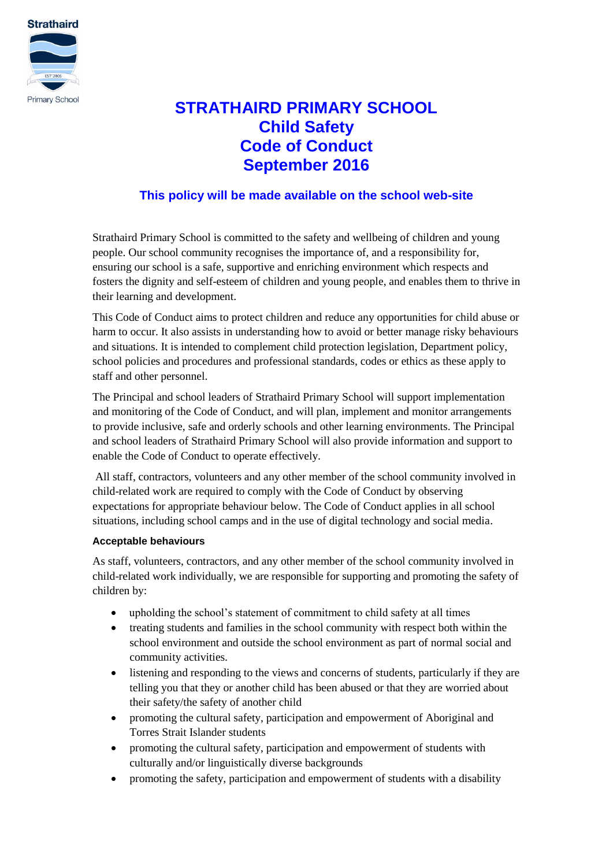

## **STRATHAIRD PRIMARY SCHOOL Child Safety Code of Conduct September 2016**

## **This policy will be made available on the school web-site**

Strathaird Primary School is committed to the safety and wellbeing of children and young people. Our school community recognises the importance of, and a responsibility for, ensuring our school is a safe, supportive and enriching environment which respects and fosters the dignity and self-esteem of children and young people, and enables them to thrive in their learning and development.

This Code of Conduct aims to protect children and reduce any opportunities for child abuse or harm to occur. It also assists in understanding how to avoid or better manage risky behaviours and situations. It is intended to complement child protection legislation, Department policy, school policies and procedures and professional standards, codes or ethics as these apply to staff and other personnel.

The Principal and school leaders of Strathaird Primary School will support implementation and monitoring of the Code of Conduct, and will plan, implement and monitor arrangements to provide inclusive, safe and orderly schools and other learning environments. The Principal and school leaders of Strathaird Primary School will also provide information and support to enable the Code of Conduct to operate effectively.

All staff, contractors, volunteers and any other member of the school community involved in child-related work are required to comply with the Code of Conduct by observing expectations for appropriate behaviour below. The Code of Conduct applies in all school situations, including school camps and in the use of digital technology and social media.

## **Acceptable behaviours**

As staff, volunteers, contractors, and any other member of the school community involved in child-related work individually, we are responsible for supporting and promoting the safety of children by:

- upholding the school's statement of commitment to child safety at all times
- treating students and families in the school community with respect both within the school environment and outside the school environment as part of normal social and community activities.
- listening and responding to the views and concerns of students, particularly if they are telling you that they or another child has been abused or that they are worried about their safety/the safety of another child
- promoting the cultural safety, participation and empowerment of Aboriginal and Torres Strait Islander students
- promoting the cultural safety, participation and empowerment of students with culturally and/or linguistically diverse backgrounds
- promoting the safety, participation and empowerment of students with a disability